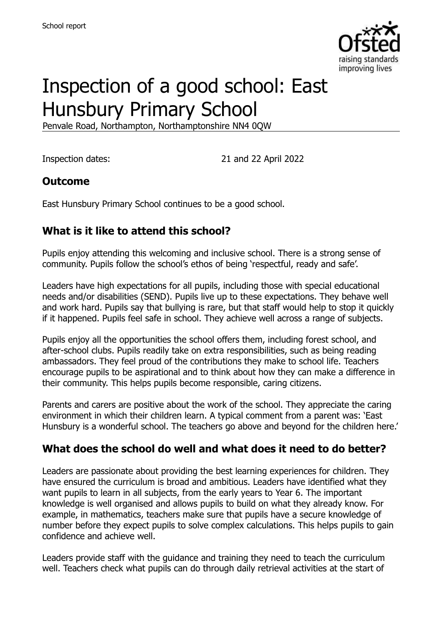

# Inspection of a good school: East Hunsbury Primary School

Penvale Road, Northampton, Northamptonshire NN4 0QW

Inspection dates: 21 and 22 April 2022

### **Outcome**

East Hunsbury Primary School continues to be a good school.

# **What is it like to attend this school?**

Pupils enjoy attending this welcoming and inclusive school. There is a strong sense of community. Pupils follow the school's ethos of being 'respectful, ready and safe'.

Leaders have high expectations for all pupils, including those with special educational needs and/or disabilities (SEND). Pupils live up to these expectations. They behave well and work hard. Pupils say that bullying is rare, but that staff would help to stop it quickly if it happened. Pupils feel safe in school. They achieve well across a range of subjects.

Pupils enjoy all the opportunities the school offers them, including forest school, and after-school clubs. Pupils readily take on extra responsibilities, such as being reading ambassadors. They feel proud of the contributions they make to school life. Teachers encourage pupils to be aspirational and to think about how they can make a difference in their community. This helps pupils become responsible, caring citizens.

Parents and carers are positive about the work of the school. They appreciate the caring environment in which their children learn. A typical comment from a parent was: 'East Hunsbury is a wonderful school. The teachers go above and beyond for the children here.'

# **What does the school do well and what does it need to do better?**

Leaders are passionate about providing the best learning experiences for children. They have ensured the curriculum is broad and ambitious. Leaders have identified what they want pupils to learn in all subjects, from the early years to Year 6. The important knowledge is well organised and allows pupils to build on what they already know. For example, in mathematics, teachers make sure that pupils have a secure knowledge of number before they expect pupils to solve complex calculations. This helps pupils to gain confidence and achieve well.

Leaders provide staff with the guidance and training they need to teach the curriculum well. Teachers check what pupils can do through daily retrieval activities at the start of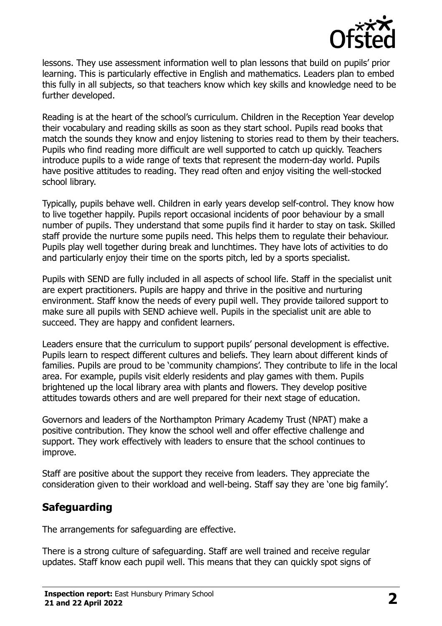

lessons. They use assessment information well to plan lessons that build on pupils' prior learning. This is particularly effective in English and mathematics. Leaders plan to embed this fully in all subjects, so that teachers know which key skills and knowledge need to be further developed.

Reading is at the heart of the school's curriculum. Children in the Reception Year develop their vocabulary and reading skills as soon as they start school. Pupils read books that match the sounds they know and enjoy listening to stories read to them by their teachers. Pupils who find reading more difficult are well supported to catch up quickly. Teachers introduce pupils to a wide range of texts that represent the modern-day world. Pupils have positive attitudes to reading. They read often and enjoy visiting the well-stocked school library.

Typically, pupils behave well. Children in early years develop self-control. They know how to live together happily. Pupils report occasional incidents of poor behaviour by a small number of pupils. They understand that some pupils find it harder to stay on task. Skilled staff provide the nurture some pupils need. This helps them to regulate their behaviour. Pupils play well together during break and lunchtimes. They have lots of activities to do and particularly enjoy their time on the sports pitch, led by a sports specialist.

Pupils with SEND are fully included in all aspects of school life. Staff in the specialist unit are expert practitioners. Pupils are happy and thrive in the positive and nurturing environment. Staff know the needs of every pupil well. They provide tailored support to make sure all pupils with SEND achieve well. Pupils in the specialist unit are able to succeed. They are happy and confident learners.

Leaders ensure that the curriculum to support pupils' personal development is effective. Pupils learn to respect different cultures and beliefs. They learn about different kinds of families. Pupils are proud to be 'community champions'. They contribute to life in the local area. For example, pupils visit elderly residents and play games with them. Pupils brightened up the local library area with plants and flowers. They develop positive attitudes towards others and are well prepared for their next stage of education.

Governors and leaders of the Northampton Primary Academy Trust (NPAT) make a positive contribution. They know the school well and offer effective challenge and support. They work effectively with leaders to ensure that the school continues to improve.

Staff are positive about the support they receive from leaders. They appreciate the consideration given to their workload and well-being. Staff say they are 'one big family'.

# **Safeguarding**

The arrangements for safeguarding are effective.

There is a strong culture of safeguarding. Staff are well trained and receive regular updates. Staff know each pupil well. This means that they can quickly spot signs of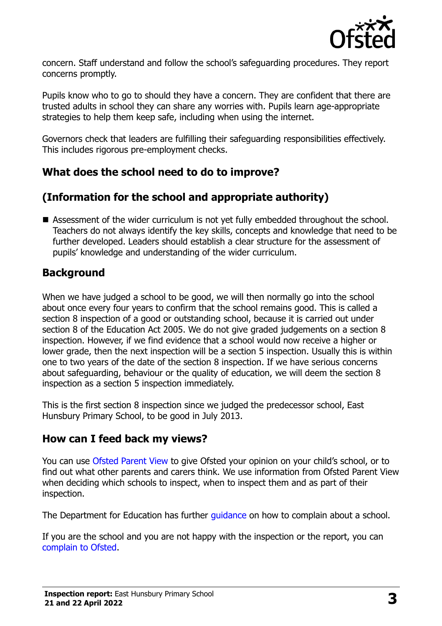

concern. Staff understand and follow the school's safeguarding procedures. They report concerns promptly.

Pupils know who to go to should they have a concern. They are confident that there are trusted adults in school they can share any worries with. Pupils learn age-appropriate strategies to help them keep safe, including when using the internet.

Governors check that leaders are fulfilling their safeguarding responsibilities effectively. This includes rigorous pre-employment checks.

# **What does the school need to do to improve?**

# **(Information for the school and appropriate authority)**

■ Assessment of the wider curriculum is not yet fully embedded throughout the school. Teachers do not always identify the key skills, concepts and knowledge that need to be further developed. Leaders should establish a clear structure for the assessment of pupils' knowledge and understanding of the wider curriculum.

# **Background**

When we have judged a school to be good, we will then normally go into the school about once every four years to confirm that the school remains good. This is called a section 8 inspection of a good or outstanding school, because it is carried out under section 8 of the Education Act 2005. We do not give graded judgements on a section 8 inspection. However, if we find evidence that a school would now receive a higher or lower grade, then the next inspection will be a section 5 inspection. Usually this is within one to two years of the date of the section 8 inspection. If we have serious concerns about safeguarding, behaviour or the quality of education, we will deem the section 8 inspection as a section 5 inspection immediately.

This is the first section 8 inspection since we judged the predecessor school, East Hunsbury Primary School, to be good in July 2013.

# **How can I feed back my views?**

You can use [Ofsted Parent View](https://parentview.ofsted.gov.uk/) to give Ofsted your opinion on your child's school, or to find out what other parents and carers think. We use information from Ofsted Parent View when deciding which schools to inspect, when to inspect them and as part of their inspection.

The Department for Education has further quidance on how to complain about a school.

If you are the school and you are not happy with the inspection or the report, you can [complain to Ofsted.](https://www.gov.uk/complain-ofsted-report)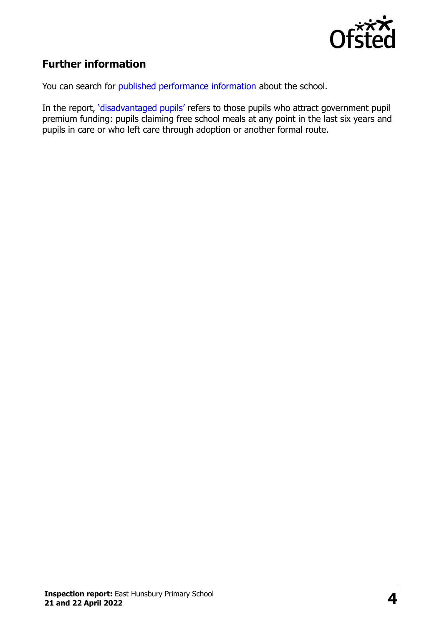

# **Further information**

You can search for [published performance information](http://www.compare-school-performance.service.gov.uk/) about the school.

In the report, '[disadvantaged pupils](http://www.gov.uk/guidance/pupil-premium-information-for-schools-and-alternative-provision-settings)' refers to those pupils who attract government pupil premium funding: pupils claiming free school meals at any point in the last six years and pupils in care or who left care through adoption or another formal route.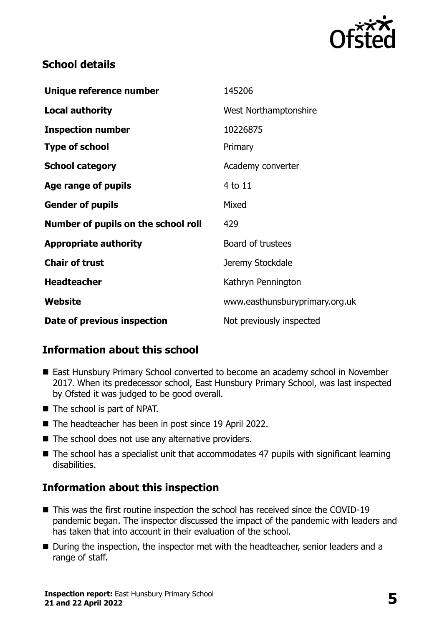

### **School details**

| Unique reference number             | 145206                         |
|-------------------------------------|--------------------------------|
| <b>Local authority</b>              | West Northamptonshire          |
| <b>Inspection number</b>            | 10226875                       |
| <b>Type of school</b>               | Primary                        |
| <b>School category</b>              | Academy converter              |
| Age range of pupils                 | 4 to 11                        |
| <b>Gender of pupils</b>             | Mixed                          |
| Number of pupils on the school roll | 429                            |
| <b>Appropriate authority</b>        | Board of trustees              |
| <b>Chair of trust</b>               | Jeremy Stockdale               |
| <b>Headteacher</b>                  | Kathryn Pennington             |
| Website                             | www.easthunsburyprimary.org.uk |
| Date of previous inspection         | Not previously inspected       |

# **Information about this school**

- East Hunsbury Primary School converted to become an academy school in November 2017. When its predecessor school, East Hunsbury Primary School, was last inspected by Ofsted it was judged to be good overall.
- The school is part of NPAT.
- The headteacher has been in post since 19 April 2022.
- $\blacksquare$  The school does not use any alternative providers.
- The school has a specialist unit that accommodates 47 pupils with significant learning disabilities.

# **Information about this inspection**

- This was the first routine inspection the school has received since the COVID-19 pandemic began. The inspector discussed the impact of the pandemic with leaders and has taken that into account in their evaluation of the school.
- During the inspection, the inspector met with the headteacher, senior leaders and a range of staff.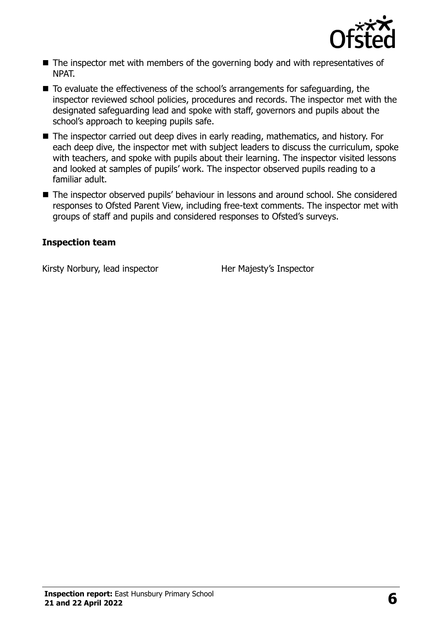

- The inspector met with members of the governing body and with representatives of NPAT.
- To evaluate the effectiveness of the school's arrangements for safeguarding, the inspector reviewed school policies, procedures and records. The inspector met with the designated safeguarding lead and spoke with staff, governors and pupils about the school's approach to keeping pupils safe.
- The inspector carried out deep dives in early reading, mathematics, and history. For each deep dive, the inspector met with subject leaders to discuss the curriculum, spoke with teachers, and spoke with pupils about their learning. The inspector visited lessons and looked at samples of pupils' work. The inspector observed pupils reading to a familiar adult.
- The inspector observed pupils' behaviour in lessons and around school. She considered responses to Ofsted Parent View, including free-text comments. The inspector met with groups of staff and pupils and considered responses to Ofsted's surveys.

#### **Inspection team**

Kirsty Norbury, lead inspector **Her Majesty's Inspector**